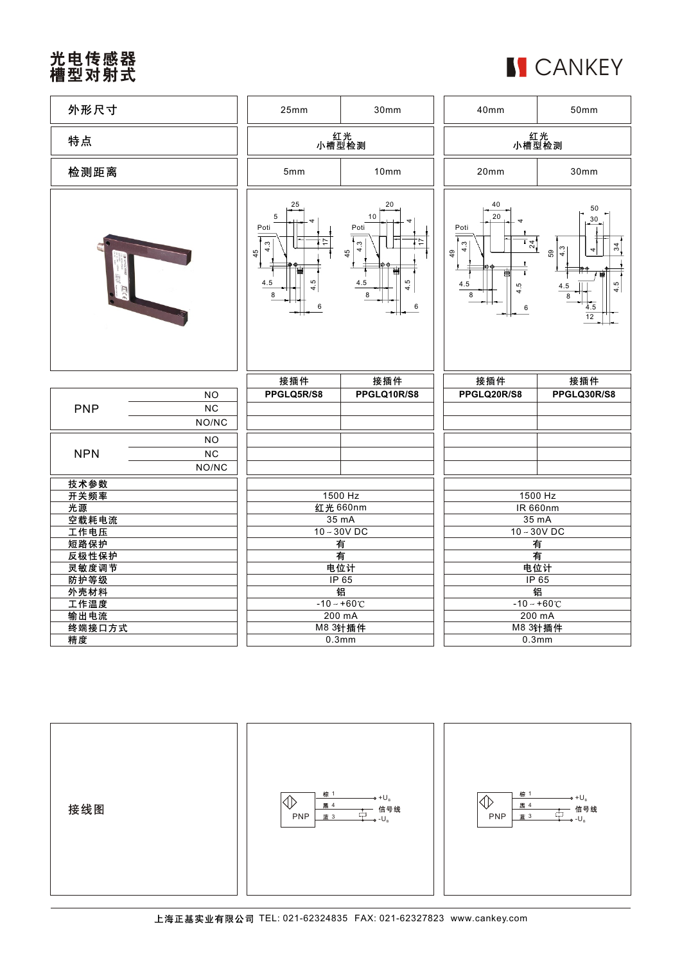## 光电传感器<br>槽型对射式

|  | <b>I</b> CANKEY |  |
|--|-----------------|--|
|--|-----------------|--|

| 外形尺寸         |                          | 25mm                                                                        | 30mm                                                             | 40mm                                                                             | 50mm                                                                                    |
|--------------|--------------------------|-----------------------------------------------------------------------------|------------------------------------------------------------------|----------------------------------------------------------------------------------|-----------------------------------------------------------------------------------------|
| 特点           |                          | 红光<br>小槽型检测                                                                 |                                                                  | 红光<br>小槽型检测                                                                      |                                                                                         |
| 检测距离         |                          | 5mm                                                                         | 10mm                                                             | 20mm                                                                             | 30mm                                                                                    |
|              |                          | 25<br>5<br>Poti<br>$\tilde{\mathcal{C}}$<br>4<br>45<br>4.5<br>4.5<br>8<br>6 | 20<br>10<br>Poti<br>4.3<br>45<br>事<br>4.5<br>4.5<br>8<br>$\,6\,$ | 40<br>20<br>Poti<br>$\frac{1}{2}$<br>4.3<br>49<br>T<br>曹<br>4.5<br>4.5<br>8<br>6 | 50<br>30<br>34<br>$\frac{3}{4}$<br>4<br>59<br>4.5<br>4.5<br>8<br>4.5<br>$\overline{12}$ |
|              |                          |                                                                             |                                                                  |                                                                                  |                                                                                         |
|              |                          | 接插件                                                                         | 接插件                                                              | 接插件                                                                              | 接插件                                                                                     |
| <b>PNP</b>   | <b>NO</b><br>NC<br>NO/NC | PPGLQ5R/S8                                                                  | PPGLQ10R/S8                                                      | PPGLQ20R/S8                                                                      | PPGLQ30R/S8                                                                             |
| <b>NPN</b>   | <b>NO</b><br>NC<br>NO/NC |                                                                             |                                                                  |                                                                                  |                                                                                         |
| 技术参数         |                          |                                                                             |                                                                  |                                                                                  |                                                                                         |
| 开关频率         |                          |                                                                             | 1500 Hz                                                          |                                                                                  | 1500 Hz                                                                                 |
| 光源           |                          |                                                                             | 红光 660nm                                                         |                                                                                  | <b>IR 660nm</b>                                                                         |
| 空载耗电流        |                          |                                                                             | 35 mA<br>$10 - 30V$ DC                                           |                                                                                  | $35 \text{ mA}$<br>$10 - 30V$ DC                                                        |
| 工作电压<br>短路保护 |                          |                                                                             | 有                                                                |                                                                                  | 有                                                                                       |
| 反极性保护        |                          |                                                                             | 有                                                                |                                                                                  | 有                                                                                       |
| 灵敏度调节        |                          |                                                                             | 电位计                                                              |                                                                                  | 电位计                                                                                     |
| 防护等级         |                          |                                                                             | IP65                                                             |                                                                                  | IP65                                                                                    |
| 外壳材料<br>工作温度 |                          |                                                                             | 镅<br>$-10 - +60$ °C                                              |                                                                                  | 镅<br>$-10 - +60^{\circ}$                                                                |
| 输出电流         |                          |                                                                             | 200 mA                                                           |                                                                                  | 200 mA                                                                                  |
| 终端接口方式<br>精度 |                          |                                                                             | M8 3针插件<br>0.3 <sub>mm</sub>                                     |                                                                                  | M8 3针插件<br>0.3 <sub>mm</sub>                                                            |

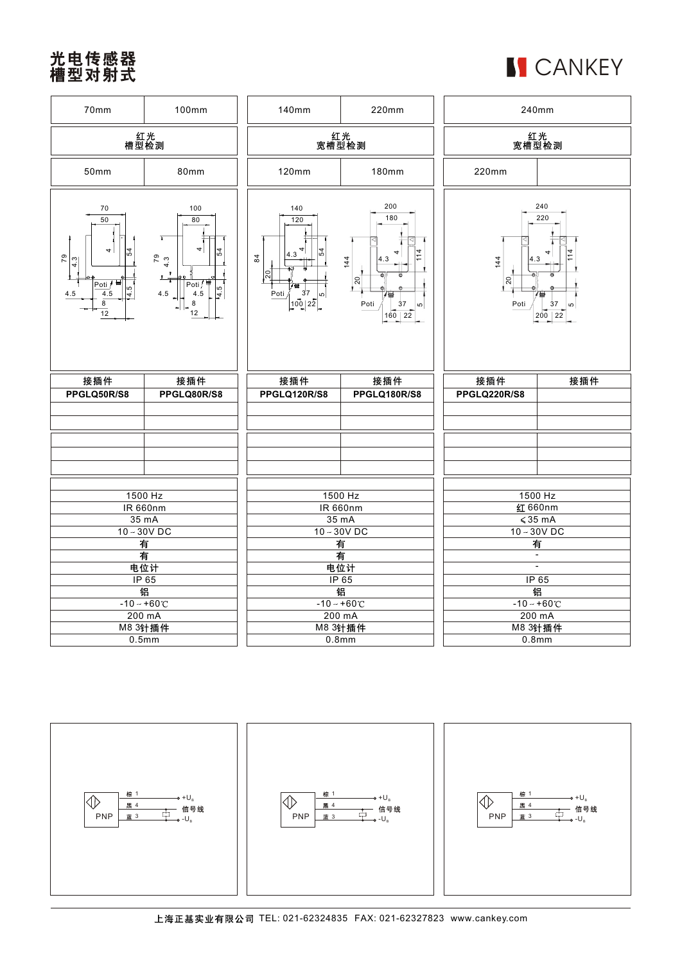## 光电传感器<br>槽型对射式